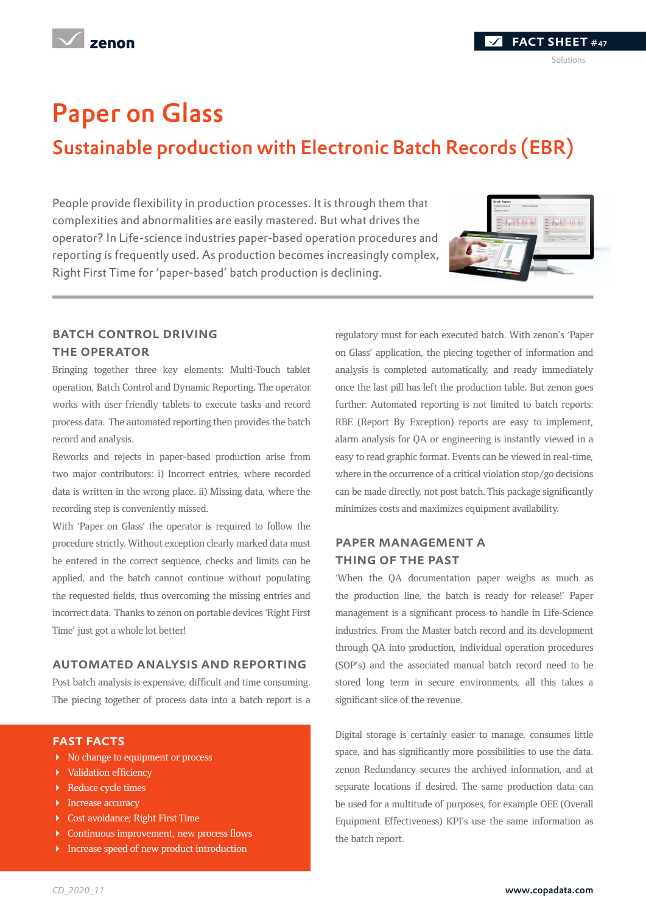## Paper on Glass

### Sustainable production with Electronic Batch Records (EBR)

People provide flexibility in production processes. It is through them that complexities and abnormalities are easily mastered. But what drives the operator? In Life-science industries paper-based operation procedures and reporting is frequently used. As production becomes increasingly complex, Right First Time for 'paper-based' batch production is declining.



#### **BATCH CONTROL DRIVING** the operator

Bringing together three key elements: Multi-Touch tablet operation, Batch Control and Dynamic Reporting. The operator works with user friendly tablets to execute tasks and record process data. The automated reporting then provides the batch record and analysis.

Reworks and rejects in paper-based production arise from two major contributors: i) Incorrect entries, where recorded data is written in the wrong place. ii) Missing data, where the recording step is conveniently missed.

With 'Paper on Glass' the operator is required to follow the procedure strictly. Without exception clearly marked data must be entered in the correct sequence, checks and limits can be applied, and the batch cannot continue without populating the requested fields, thus overcoming the missing entries and incorrect data. Thanks to zenon on portable devices 'Right First Time' just got a whole lot better!

#### automated analysis and reporting

Post batch analysis is expensive, difficult and time consuming. The piecing together of process data into a batch report is a

#### fast facts

- $\triangleright$  No change to equipment or process
- Validation efficiency
- Reduce cycle times
- **Increase accuracy**
- Cost avoidance; Right First Time
- Continuous improvement, new process flows
- **Increase speed of new product introduction**

regulatory must for each executed batch. With zenon's 'Paper on Glass' application, the piecing together of information and analysis is completed automatically, and ready immediately once the last pill has left the production table. But zenon goes further: Automated reporting is not limited to batch reports: RBE (Report By Exception) reports are easy to implement, alarm analysis for QA or engineering is instantly viewed in a easy to read graphic format. Events can be viewed in real-time, where in the occurrence of a critical violation stop/go decisions can be made directly, not post batch. This package significantly minimizes costs and maximizes equipment availability.

#### paper management a thing of the past

'When the QA documentation paper weighs as much as the production line, the batch is ready for release!' Paper management is a significant process to handle in Life-Science industries. From the Master batch record and its development through QA into production, individual operation procedures (SOP's) and the associated manual batch record need to be stored long term in secure environments, all this takes a significant slice of the revenue.

Digital storage is certainly easier to manage, consumes little space, and has significantly more possibilities to use the data. zenon Redundancy secures the archived information, and at separate locations if desired. The same production data can be used for a multitude of purposes, for example OEE (Overall Equipment Effectiveness) KPI's use the same information as the batch report.